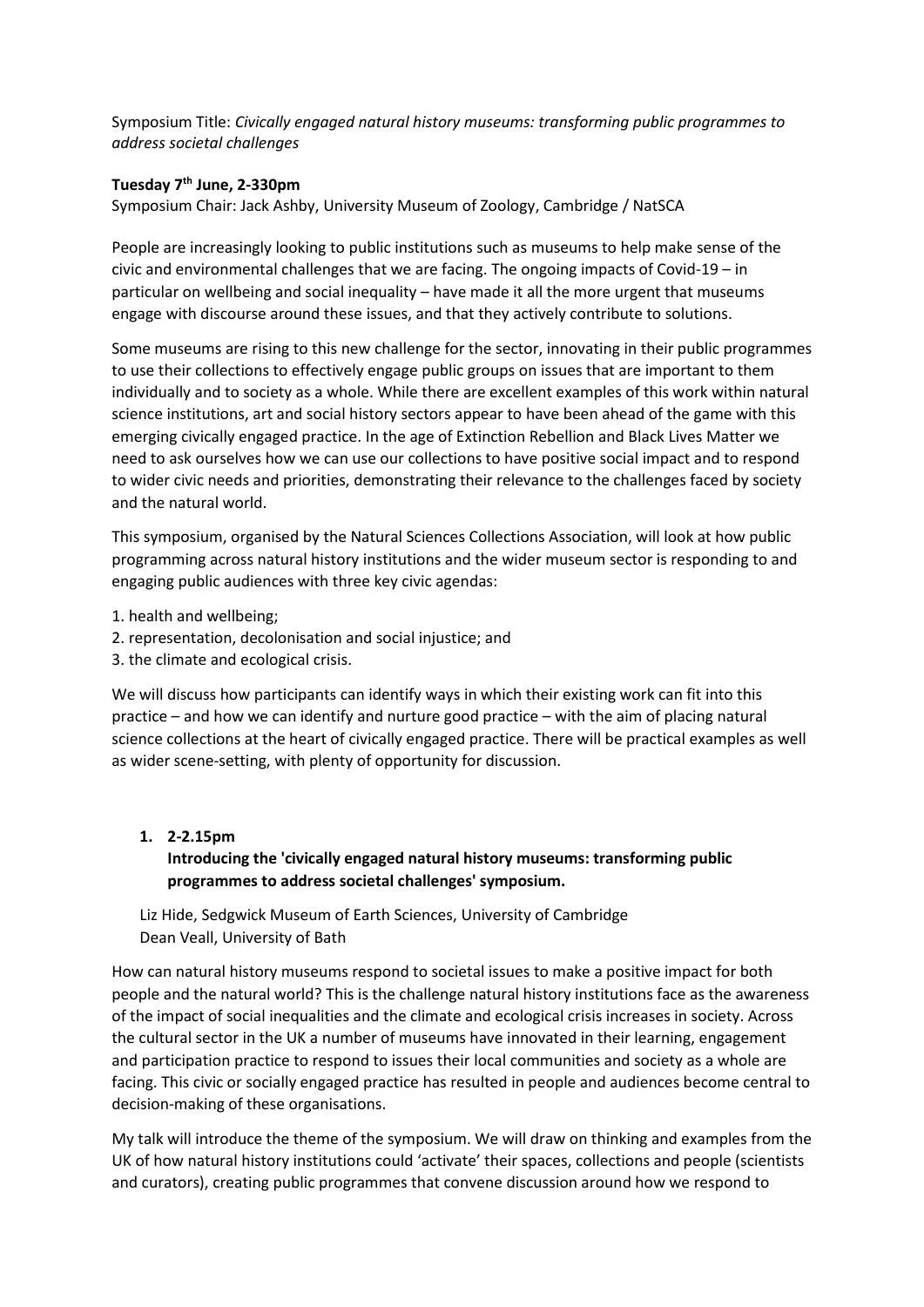Symposium Title: *Civically engaged natural history museums: transforming public programmes to address societal challenges*

## **Tuesday 7 th June, 2-330pm**

Symposium Chair: Jack Ashby, University Museum of Zoology, Cambridge / NatSCA

People are increasingly looking to public institutions such as museums to help make sense of the civic and environmental challenges that we are facing. The ongoing impacts of Covid-19 – in particular on wellbeing and social inequality – have made it all the more urgent that museums engage with discourse around these issues, and that they actively contribute to solutions.

Some museums are rising to this new challenge for the sector, innovating in their public programmes to use their collections to effectively engage public groups on issues that are important to them individually and to society as a whole. While there are excellent examples of this work within natural science institutions, art and social history sectors appear to have been ahead of the game with this emerging civically engaged practice. In the age of Extinction Rebellion and Black Lives Matter we need to ask ourselves how we can use our collections to have positive social impact and to respond to wider civic needs and priorities, demonstrating their relevance to the challenges faced by society and the natural world.

This symposium, organised by the Natural Sciences Collections Association, will look at how public programming across natural history institutions and the wider museum sector is responding to and engaging public audiences with three key civic agendas:

- 1. health and wellbeing;
- 2. representation, decolonisation and social injustice; and
- 3. the climate and ecological crisis.

We will discuss how participants can identify ways in which their existing work can fit into this practice – and how we can identify and nurture good practice – with the aim of placing natural science collections at the heart of civically engaged practice. There will be practical examples as well as wider scene-setting, with plenty of opportunity for discussion.

### **1. 2-2.15pm**

## **Introducing the 'civically engaged natural history museums: transforming public programmes to address societal challenges' symposium.**

Liz Hide, Sedgwick Museum of Earth Sciences, University of Cambridge Dean Veall, University of Bath

How can natural history museums respond to societal issues to make a positive impact for both people and the natural world? This is the challenge natural history institutions face as the awareness of the impact of social inequalities and the climate and ecological crisis increases in society. Across the cultural sector in the UK a number of museums have innovated in their learning, engagement and participation practice to respond to issues their local communities and society as a whole are facing. This civic or socially engaged practice has resulted in people and audiences become central to decision-making of these organisations.

My talk will introduce the theme of the symposium. We will draw on thinking and examples from the UK of how natural history institutions could 'activate' their spaces, collections and people (scientists and curators), creating public programmes that convene discussion around how we respond to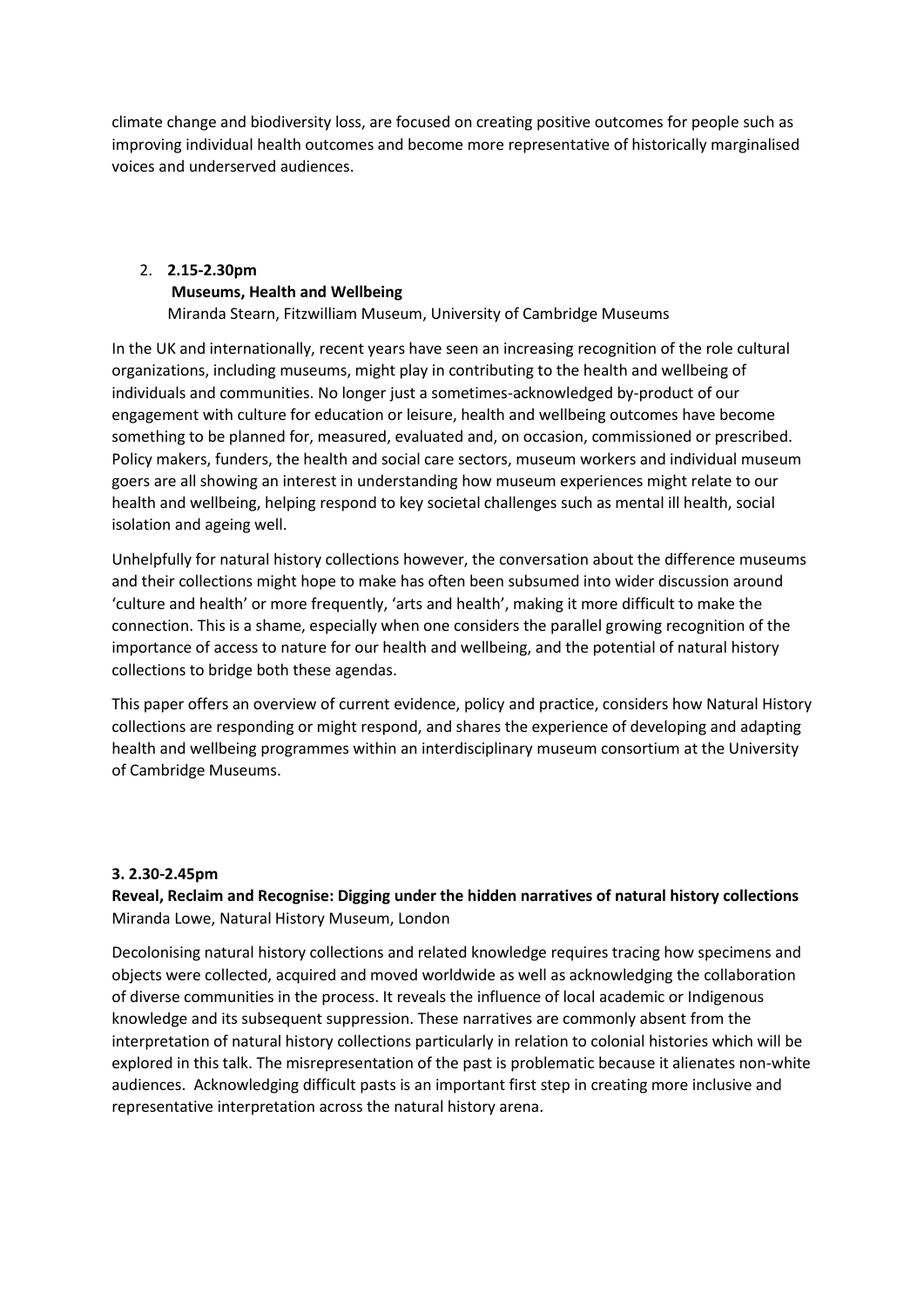climate change and biodiversity loss, are focused on creating positive outcomes for people such as improving individual health outcomes and become more representative of historically marginalised voices and underserved audiences.

# 2. **2.15-2.30pm Museums, Health and Wellbeing**

Miranda Stearn, Fitzwilliam Museum, University of Cambridge Museums

In the UK and internationally, recent years have seen an increasing recognition of the role cultural organizations, including museums, might play in contributing to the health and wellbeing of individuals and communities. No longer just a sometimes-acknowledged by-product of our engagement with culture for education or leisure, health and wellbeing outcomes have become something to be planned for, measured, evaluated and, on occasion, commissioned or prescribed. Policy makers, funders, the health and social care sectors, museum workers and individual museum goers are all showing an interest in understanding how museum experiences might relate to our health and wellbeing, helping respond to key societal challenges such as mental ill health, social isolation and ageing well.

Unhelpfully for natural history collections however, the conversation about the difference museums and their collections might hope to make has often been subsumed into wider discussion around 'culture and health' or more frequently, 'arts and health', making it more difficult to make the connection. This is a shame, especially when one considers the parallel growing recognition of the importance of access to nature for our health and wellbeing, and the potential of natural history collections to bridge both these agendas.

This paper offers an overview of current evidence, policy and practice, considers how Natural History collections are responding or might respond, and shares the experience of developing and adapting health and wellbeing programmes within an interdisciplinary museum consortium at the University of Cambridge Museums.

## **3. 2.30-2.45pm**

**Reveal, Reclaim and Recognise: Digging under the hidden narratives of natural history collections** Miranda Lowe, Natural History Museum, London

Decolonising natural history collections and related knowledge requires tracing how specimens and objects were collected, acquired and moved worldwide as well as acknowledging the collaboration of diverse communities in the process. It reveals the influence of local academic or Indigenous knowledge and its subsequent suppression. These narratives are commonly absent from the interpretation of natural history collections particularly in relation to colonial histories which will be explored in this talk. The misrepresentation of the past is problematic because it alienates non-white audiences. Acknowledging difficult pasts is an important first step in creating more inclusive and representative interpretation across the natural history arena.